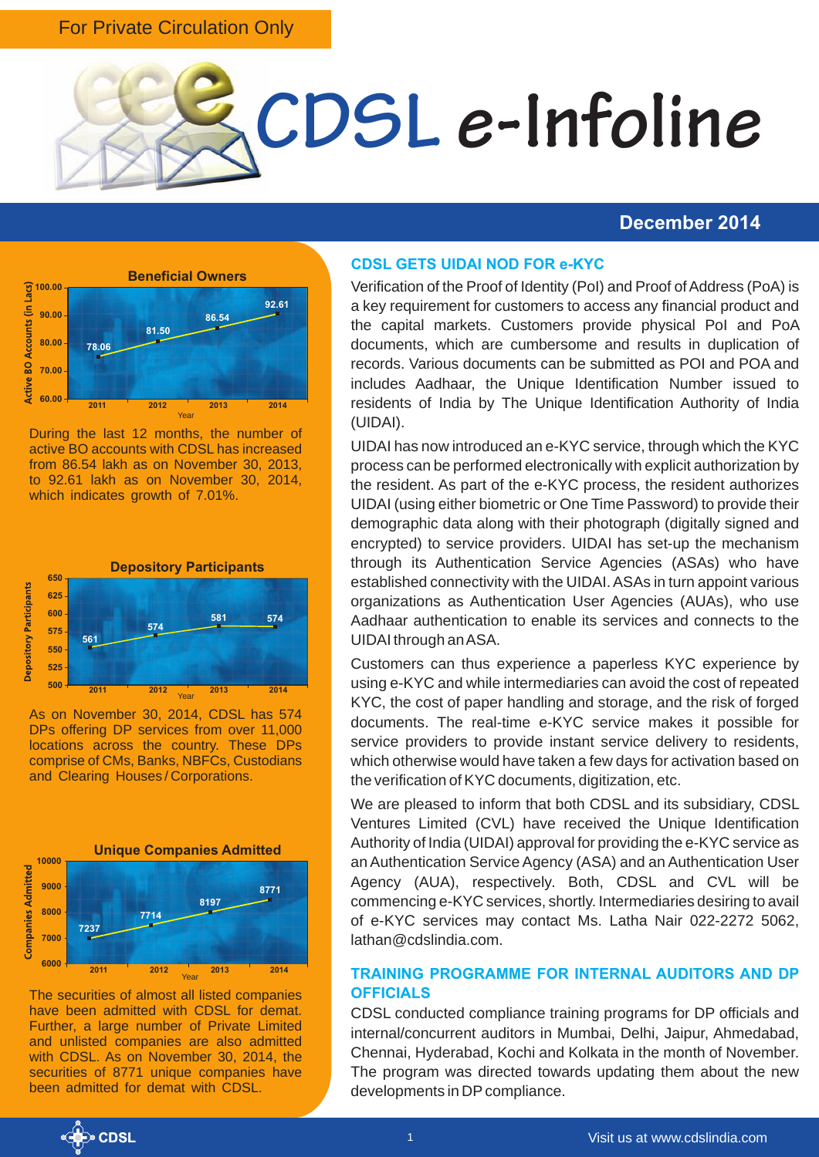### For Private Circulation Only



### **December 2014**



During the last 12 months, the number of active BO accounts with CDSL has increased from 86.54 lakh as on November 30, 2013, to 92.61 lakh as on November 30, 2014, which indicates growth of 7.01%.



As on November 30, 2014, CDSL has 574 DPs offering DP services from over 11,000 locations across the country. These DPs comprise of CMs, Banks, NBFCs, Custodians and Clearing Houses / Corporations.



The securities of almost all listed companies have been admitted with CDSL for demat. Further, a large number of Private Limited and unlisted companies are also admitted with CDSL. As on November 30, 2014, the securities of 8771 unique companies have been admitted for demat with CDSL.

### **CDSL GETS UIDAI NOD FOR e-KYC**

Verification of the Proof of Identity (PoI) and Proof of Address (PoA) is a key requirement for customers to access any financial product and the capital markets. Customers provide physical PoI and PoA documents, which are cumbersome and results in duplication of records. Various documents can be submitted as POI and POA and includes Aadhaar, the Unique Identification Number issued to residents of India by The Unique Identification Authority of India (UIDAI).

UIDAI has now introduced an e-KYC service, through which the KYC process can be performed electronically with explicit authorization by the resident. As part of the e-KYC process, the resident authorizes UIDAI (using either biometric or One Time Password) to provide their demographic data along with their photograph (digitally signed and encrypted) to service providers. UIDAI has set-up the mechanism through its Authentication Service Agencies (ASAs) who have established connectivity with the UIDAI. ASAs in turn appoint various organizations as Authentication User Agencies (AUAs), who use Aadhaar authentication to enable its services and connects to the UIDAI through an ASA.

Customers can thus experience a paperless KYC experience by using e-KYC and while intermediaries can avoid the cost of repeated KYC, the cost of paper handling and storage, and the risk of forged documents. The real-time e-KYC service makes it possible for service providers to provide instant service delivery to residents, which otherwise would have taken a few days for activation based on the verification of KYC documents, digitization, etc.

We are pleased to inform that both CDSL and its subsidiary, CDSL Ventures Limited (CVL) have received the Unique Identification Authority of India (UIDAI) approval for providing the e-KYC service as an Authentication Service Agency (ASA) and an Authentication User Agency (AUA), respectively. Both, CDSL and CVL will be commencing e-KYC services, shortly. Intermediaries desiring to avail of e-KYC services may contact Ms. Latha Nair 022-2272 5062, lathan@cdslindia.com.

### **TRAINING PROGRAMME FOR INTERNAL AUDITORS AND DP OFFICIALS**

CDSL conducted compliance training programs for DP officials and internal/concurrent auditors in Mumbai, Delhi, Jaipur, Ahmedabad, Chennai, Hyderabad, Kochi and Kolkata in the month of November. The program was directed towards updating them about the new developments in DP compliance.

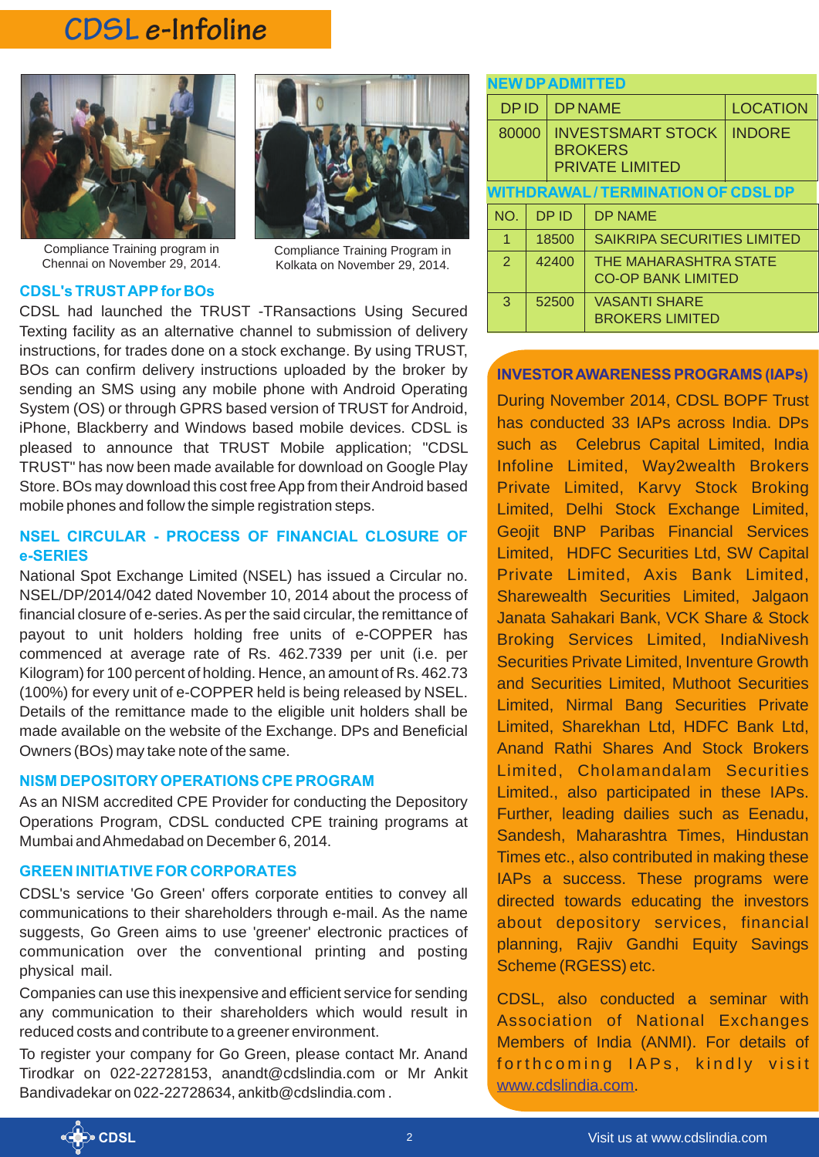# **CDSL e-Infoline**



Compliance Training program in Chennai on November 29, 2014.

### **CDSL's TRUST APP for BOs**

Compliance Training Program in Kolkata on November 29, 2014.

CDSL had launched the TRUST -TRansactions Using Secured Texting facility as an alternative channel to submission of delivery instructions, for trades done on a stock exchange. By using TRUST, BOs can confirm delivery instructions uploaded by the broker by sending an SMS using any mobile phone with Android Operating System (OS) or through GPRS based version of TRUST for Android, iPhone, Blackberry and Windows based mobile devices. CDSL is pleased to announce that TRUST Mobile application; "CDSL TRUST" has now been made available for download on Google Play Store. BOs may download this cost free App from their Android based mobile phones and follow the simple registration steps.

### **NSEL CIRCULAR - PROCESS OF FINANCIAL CLOSURE OF e-SERIES**

National Spot Exchange Limited (NSEL) has issued a Circular no. NSEL/DP/2014/042 dated November 10, 2014 about the process of financial closure of e-series. As per the said circular, the remittance of payout to unit holders holding free units of e-COPPER has commenced at average rate of Rs. 462.7339 per unit (i.e. per Kilogram) for 100 percent of holding. Hence, an amount of Rs. 462.73 (100%) for every unit of e-COPPER held is being released by NSEL. Details of the remittance made to the eligible unit holders shall be made available on the website of the Exchange. DPs and Beneficial Owners (BOs) may take note of the same.

### **NISM DEPOSITORY OPERATIONS CPE PROGRAM**

As an NISM accredited CPE Provider for conducting the Depository Operations Program, CDSL conducted CPE training programs at Mumbai and Ahmedabad on December 6, 2014.

### **GREEN INITIATIVE FOR CORPORATES**

CDSL's service 'Go Green' offers corporate entities to convey all communications to their shareholders through e-mail. As the name suggests, Go Green aims to use 'greener' electronic practices of communication over the conventional printing and posting physical mail.

Companies can use this inexpensive and efficient service for sending any communication to their shareholders which would result in reduced costs and contribute to a greener environment.

To register your company for Go Green, please contact Mr. Anand Tirodkar on 022-22728153, anandt@cdslindia.com or Mr Ankit Bandivadekar on 022-22728634, ankitb@cdslindia.com .

| <b>NEW DP ADMITTED</b>                   |       |                                                                      |                                                    |                 |
|------------------------------------------|-------|----------------------------------------------------------------------|----------------------------------------------------|-----------------|
| <b>DPID</b>                              |       | <b>DP NAME</b>                                                       |                                                    | <b>LOCATION</b> |
| 80000                                    |       | <b>INVESTSMART STOCK</b><br><b>BROKERS</b><br><b>PRIVATE LIMITED</b> |                                                    | <b>INDORE</b>   |
| <b>WITHDRAWAL/TERMINATION OF CDSL DP</b> |       |                                                                      |                                                    |                 |
| NO.                                      |       | <b>DPID</b>                                                          | <b>DP NAME</b>                                     |                 |
| $\overline{1}$                           |       | 18500                                                                | <b>SAIKRIPA SECURITIES LIMITED</b>                 |                 |
| $\overline{2}$                           | 42400 |                                                                      | THE MAHARASHTRA STATE<br><b>CO-OP BANK LIMITED</b> |                 |
| 3                                        | 52500 |                                                                      | <b>VASANTI SHARE</b><br><b>BROKERS LIMITED</b>     |                 |

### **INVESTOR AWARENESS PROGRAMS (IAPs)**

During November 2014, CDSL BOPF Trust has conducted 33 IAPs across India. DPs such as Celebrus Capital Limited, India Infoline Limited, Way2wealth Brokers Private Limited, Karvy Stock Broking Limited, Delhi Stock Exchange Limited, Geojit BNP Paribas Financial Services Limited, HDFC Securities Ltd, SW Capital Private Limited, Axis Bank Limited, Sharewealth Securities Limited, Jalgaon Janata Sahakari Bank, VCK Share & Stock Broking Services Limited, IndiaNivesh Securities Private Limited, Inventure Growth and Securities Limited, Muthoot Securities Limited, Nirmal Bang Securities Private Limited, Sharekhan Ltd, HDFC Bank Ltd, Anand Rathi Shares And Stock Brokers Limited, Cholamandalam Securities Limited., also participated in these IAPs. Further, leading dailies such as Eenadu, Sandesh, Maharashtra Times, Hindustan Times etc., also contributed in making these IAPs a success. These programs were directed towards educating the investors about depository services, financial planning, Rajiv Gandhi Equity Savings Scheme (RGESS) etc.

CDSL, also conducted a seminar with Association of National Exchanges Members of India (ANMI). For details of forthcoming IAPs, kindly visit www.cdslindia.com.

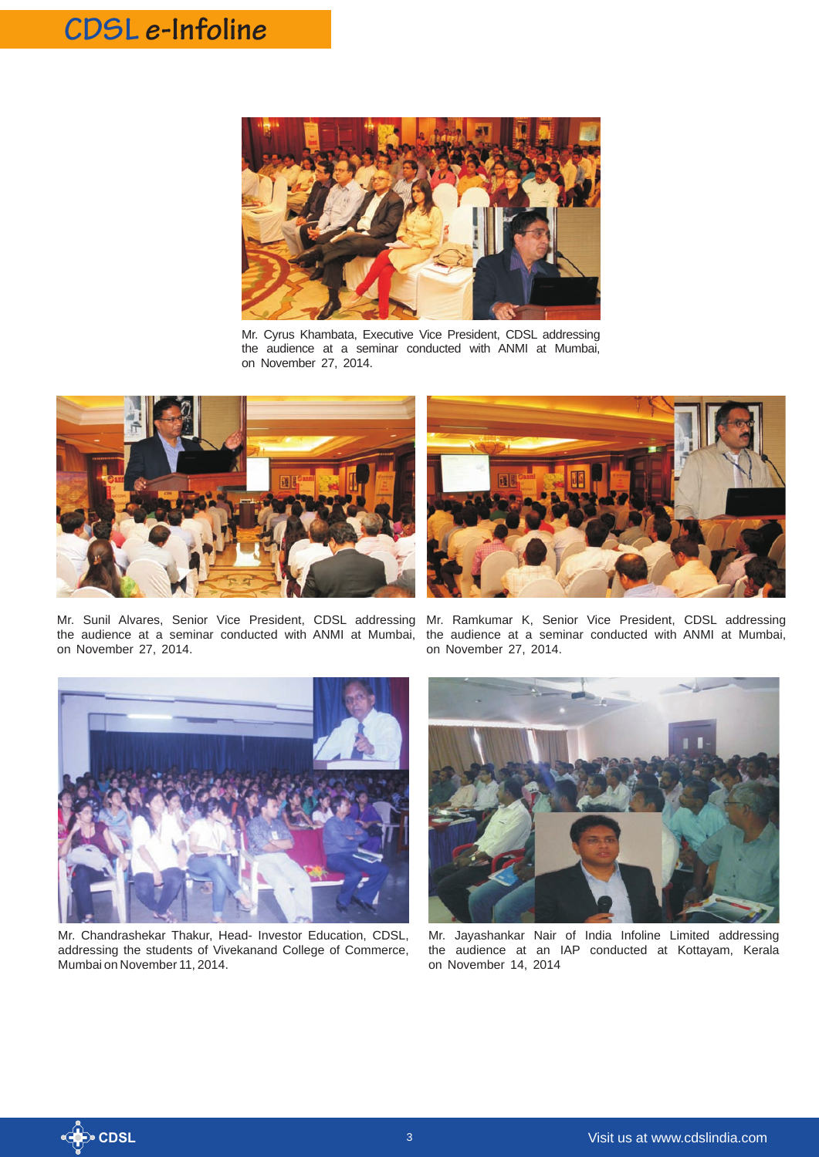# **CDSL e-Infoline**



Mr. Cyrus Khambata, Executive Vice President, CDSL addressing the audience at a seminar conducted with ANMI at Mumbai, on November 27, 2014.





Mr. Sunil Alvares, Senior Vice President, CDSL addressing the audience at a seminar conducted with ANMI at Mumbai, on November 27, 2014.

Mr. Ramkumar K, Senior Vice President, CDSL addressing the audience at a seminar conducted with ANMI at Mumbai, on November 27, 2014.



Mr. Chandrashekar Thakur, Head- Investor Education, CDSL, addressing the students of Vivekanand College of Commerce, Mumbai on November 11, 2014.



Mr. Jayashankar Nair of India Infoline Limited addressing the audience at an IAP conducted at Kottayam, Kerala on November 14, 2014

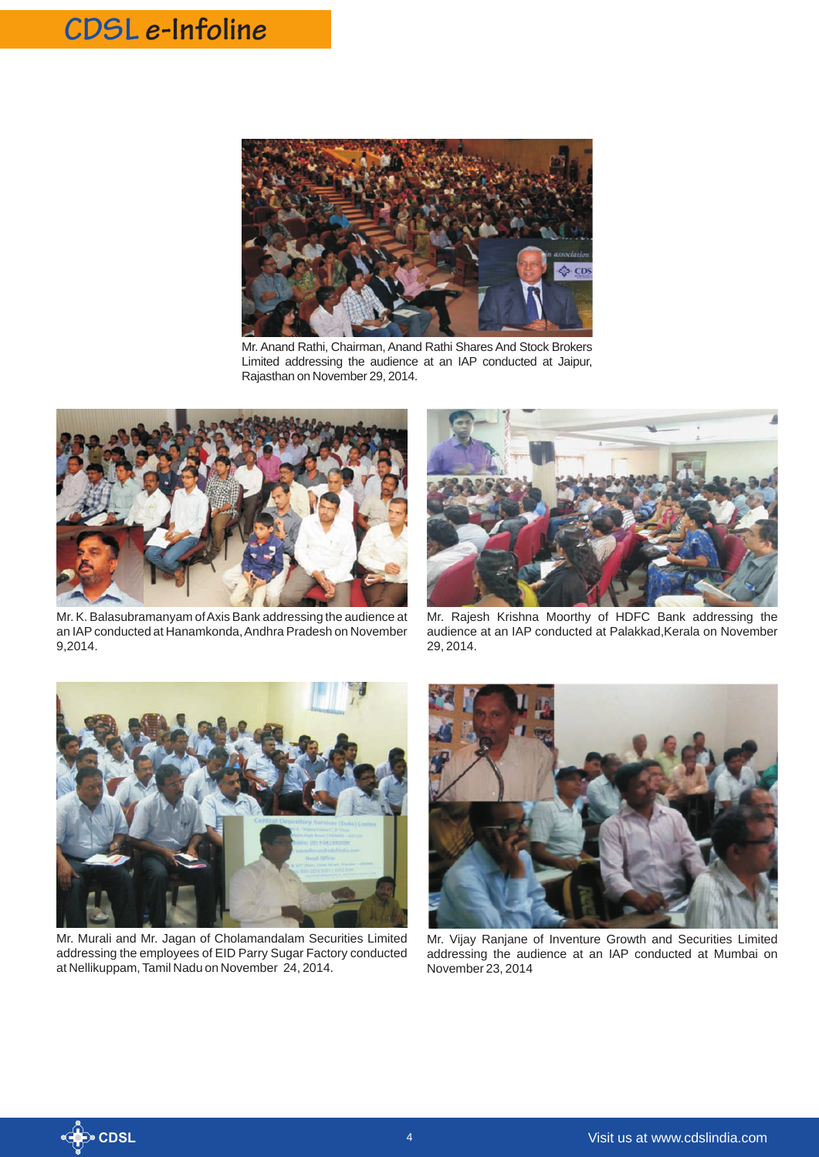# **CDSL e-Infoline**



Mr. Anand Rathi, Chairman, Anand Rathi Shares And Stock Brokers Limited addressing the audience at an IAP conducted at Jaipur, Rajasthan on November 29, 2014.



Mr. K. Balasubramanyam of Axis Bank addressing the audience at an IAP conducted at Hanamkonda, Andhra Pradesh on November 9,2014.



Mr. Rajesh Krishna Moorthy of HDFC Bank addressing the audience at an IAP conducted at Palakkad,Kerala on November 29, 2014.



Mr. Murali and Mr. Jagan of Cholamandalam Securities Limited addressing the employees of EID Parry Sugar Factory conducted at Nellikuppam, Tamil Nadu on November 24, 2014.



Mr. Vijay Ranjane of Inventure Growth and Securities Limited addressing the audience at an IAP conducted at Mumbai on November 23, 2014